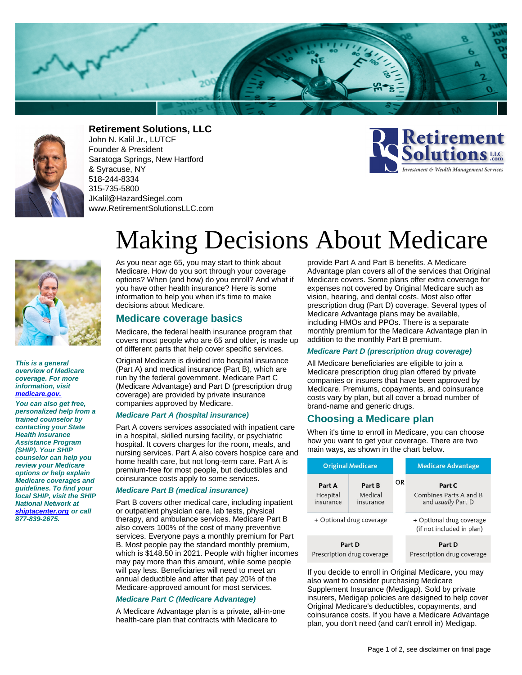



**Retirement Solutions, LLC**

John N. Kalil Jr., LUTCF Founder & President Saratoga Springs, New Hartford & Syracuse, NY 518-244-8334 315-735-5800 JKalil@HazardSiegel.com www.RetirementSolutionsLLC.com





**This is a general overview of Medicare coverage. For more information, visit [medicare.gov.](https://www.medicare.gov)**

**You can also get free, personalized help from a trained counselor by contacting your State Health Insurance Assistance Program (SHIP). Your SHIP counselor can help you review your Medicare options or help explain Medicare coverages and guidelines. To find your local SHIP, visit the SHIP National Network at [shiptacenter.org](https://www.shiptacenter.org) or call 877-839-2675.**

# Making Decisions About Medicare

As you near age 65, you may start to think about Medicare. How do you sort through your coverage options? When (and how) do you enroll? And what if you have other health insurance? Here is some information to help you when it's time to make decisions about Medicare.

## **Medicare coverage basics**

Medicare, the federal health insurance program that covers most people who are 65 and older, is made up of different parts that help cover specific services.

Original Medicare is divided into hospital insurance (Part A) and medical insurance (Part B), which are run by the federal government. Medicare Part C (Medicare Advantage) and Part D (prescription drug coverage) are provided by private insurance companies approved by Medicare.

#### **Medicare Part A (hospital insurance)**

Part A covers services associated with inpatient care in a hospital, skilled nursing facility, or psychiatric hospital. It covers charges for the room, meals, and nursing services. Part A also covers hospice care and home health care, but not long-term care. Part A is premium-free for most people, but deductibles and coinsurance costs apply to some services.

## **Medicare Part B (medical insurance)**

Part B covers other medical care, including inpatient or outpatient physician care, lab tests, physical therapy, and ambulance services. Medicare Part B also covers 100% of the cost of many preventive services. Everyone pays a monthly premium for Part B. Most people pay the standard monthly premium, which is \$148.50 in 2021. People with higher incomes may pay more than this amount, while some people will pay less. Beneficiaries will need to meet an annual deductible and after that pay 20% of the Medicare-approved amount for most services.

#### **Medicare Part C (Medicare Advantage)**

A Medicare Advantage plan is a private, all-in-one health-care plan that contracts with Medicare to

provide Part A and Part B benefits. A Medicare Advantage plan covers all of the services that Original Medicare covers. Some plans offer extra coverage for expenses not covered by Original Medicare such as vision, hearing, and dental costs. Most also offer prescription drug (Part D) coverage. Several types of Medicare Advantage plans may be available, including HMOs and PPOs. There is a separate monthly premium for the Medicare Advantage plan in addition to the monthly Part B premium.

## **Medicare Part D (prescription drug coverage)**

All Medicare beneficiaries are eligible to join a Medicare prescription drug plan offered by private companies or insurers that have been approved by Medicare. Premiums, copayments, and coinsurance costs vary by plan, but all cover a broad number of brand-name and generic drugs.

## **Choosing a Medicare plan**

When it's time to enroll in Medicare, you can choose how you want to get your coverage. There are two main ways, as shown in the chart below.

| <b>Original Medicare</b>                                   |    | <b>Medicare Advantage</b>                                                                 |
|------------------------------------------------------------|----|-------------------------------------------------------------------------------------------|
| Part B<br>Medical<br>insurance<br>+ Optional drug coverage | OR | Part C<br>Combines Parts A and B<br>and <i>usually</i> Part D<br>+ Optional drug coverage |
|                                                            |    | (if not included in plan)                                                                 |
| Part D<br>Prescription drug coverage                       |    | Part D<br>Prescription drug coverage                                                      |
|                                                            |    |                                                                                           |

If you decide to enroll in Original Medicare, you may also want to consider purchasing Medicare Supplement Insurance (Medigap). Sold by private insurers, Medigap policies are designed to help cover Original Medicare's deductibles, copayments, and coinsurance costs. If you have a Medicare Advantage plan, you don't need (and can't enroll in) Medigap.